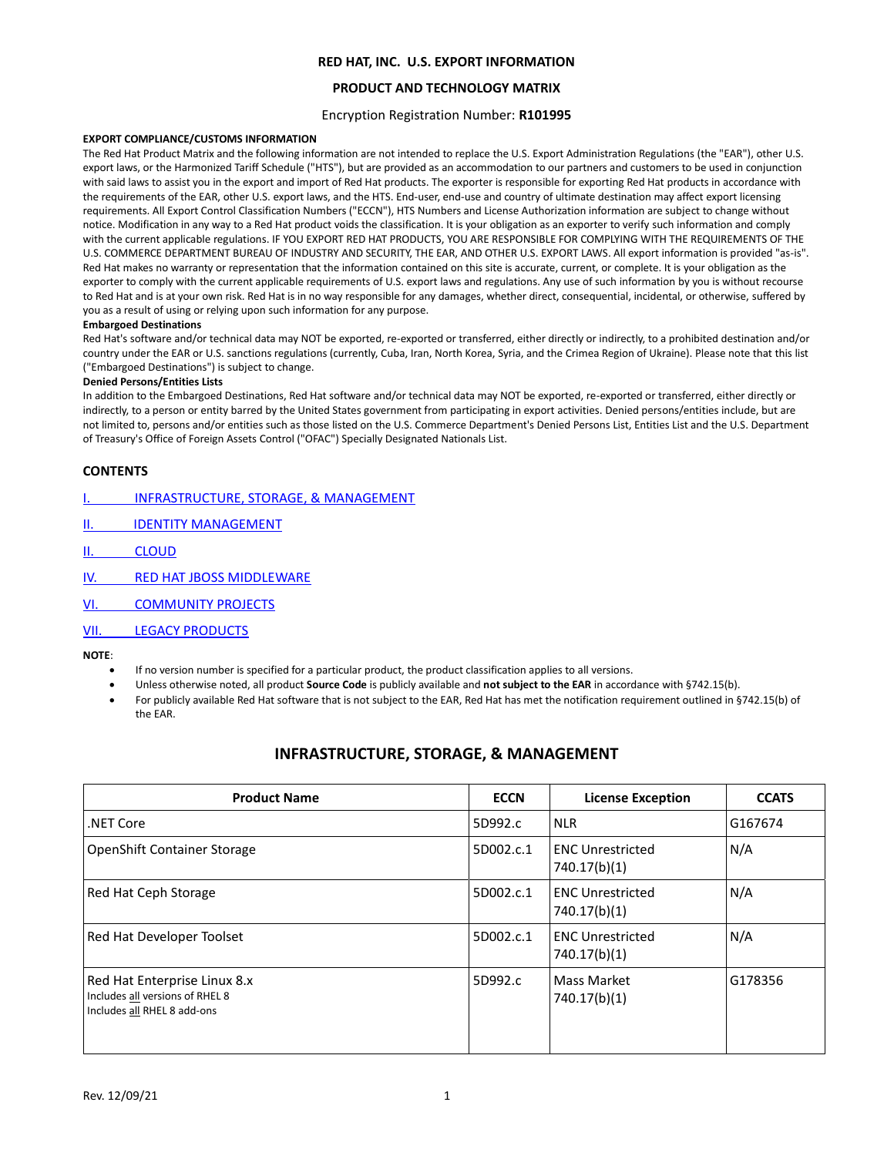#### **PRODUCT AND TECHNOLOGY MATRIX**

#### Encryption Registration Number: **R101995**

#### **EXPORT COMPLIANCE/CUSTOMS INFORMATION**

The Red Hat Product Matrix and the following information are not intended to replace the U.S. Export Administration Regulations (the "EAR"), other U.S. export laws, or the Harmonized Tariff Schedule ("HTS"), but are provided as an accommodation to our partners and customers to be used in conjunction with said laws to assist you in the export and import of Red Hat products. The exporter is responsible for exporting Red Hat products in accordance with the requirements of the EAR, other U.S. export laws, and the HTS. End-user, end-use and country of ultimate destination may affect export licensing requirements. All Export Control Classification Numbers ("ECCN"), HTS Numbers and License Authorization information are subject to change without notice. Modification in any way to a Red Hat product voids the classification. It is your obligation as an exporter to verify such information and comply with the current applicable regulations. IF YOU EXPORT RED HAT PRODUCTS, YOU ARE RESPONSIBLE FOR COMPLYING WITH THE REQUIREMENTS OF THE U.S. COMMERCE DEPARTMENT BUREAU OF INDUSTRY AND SECURITY, THE EAR, AND OTHER U.S. EXPORT LAWS. All export information is provided "as-is". Red Hat makes no warranty or representation that the information contained on this site is accurate, current, or complete. It is your obligation as the exporter to comply with the current applicable requirements of U.S. export laws and regulations. Any use of such information by you is without recourse to Red Hat and is at your own risk. Red Hat is in no way responsible for any damages, whether direct, consequential, incidental, or otherwise, suffered by you as a result of using or relying upon such information for any purpose.

#### **Embargoed Destinations**

Red Hat's software and/or technical data may NOT be exported, re-exported or transferred, either directly or indirectly, to a prohibited destination and/or country under the EAR or U.S. sanctions regulations (currently, Cuba, Iran, North Korea, Syria, and the Crimea Region of Ukraine). Please note that this list ("Embargoed Destinations") is subject to change.

#### **Denied Persons/Entities Lists**

In addition to the Embargoed Destinations, Red Hat software and/or technical data may NOT be exported, re-exported or transferred, either directly or indirectly, to a person or entity barred by the United States government from participating in export activities. Denied persons/entities include, but are not limited to, persons and/or entities such as those listed on the U.S. Commerce Department's Denied Persons List, Entities List and the U.S. Department of Treasury's Office of Foreign Assets Control ("OFAC") Specially Designated Nationals List.

#### **CONTENTS**

| INFRASTRUCTURE, STORAGE, & MANAGEMENT |
|---------------------------------------|
|---------------------------------------|

- II. IDENTITY MANAGEMENT
- II. [CLOUD](#page-2-0)
- [IV. RED HAT JBOSS](#page-4-0) MIDDLEWARE
- VI. [COMMUNITY PROJECTS](#page-5-0)
- VII. [LEGACY PRODUCTS](#page-5-1)

#### <span id="page-0-0"></span>**NOTE**:

- If no version number is specified for a particular product, the product classification applies to all versions.
- Unless otherwise noted, all product **Source Code** is publicly available and **not subject to the EAR** in accordance with §742.15(b).
- For publicly available Red Hat software that is not subject to the EAR, Red Hat has met the notification requirement outlined in §742.15(b) of the EAR.

#### **INFRASTRUCTURE, STORAGE, & MANAGEMENT**

| <b>Product Name</b>                                                                            | <b>ECCN</b> | <b>License Exception</b>                | <b>CCATS</b> |
|------------------------------------------------------------------------------------------------|-------------|-----------------------------------------|--------------|
| .NET Core                                                                                      | 5D992.c     | <b>NLR</b>                              | G167674      |
| <b>OpenShift Container Storage</b>                                                             | 5D002.c.1   | <b>ENC Unrestricted</b><br>740.17(b)(1) | N/A          |
| Red Hat Ceph Storage                                                                           | 5D002.c.1   | <b>ENC Unrestricted</b><br>740.17(b)(1) | N/A          |
| Red Hat Developer Toolset                                                                      | 5D002.c.1   | <b>ENC Unrestricted</b><br>740.17(b)(1) | N/A          |
| Red Hat Enterprise Linux 8.x<br>Includes all versions of RHEL 8<br>Includes all RHEL 8 add-ons | 5D992.c     | Mass Market<br>740.17(b)(1)             | G178356      |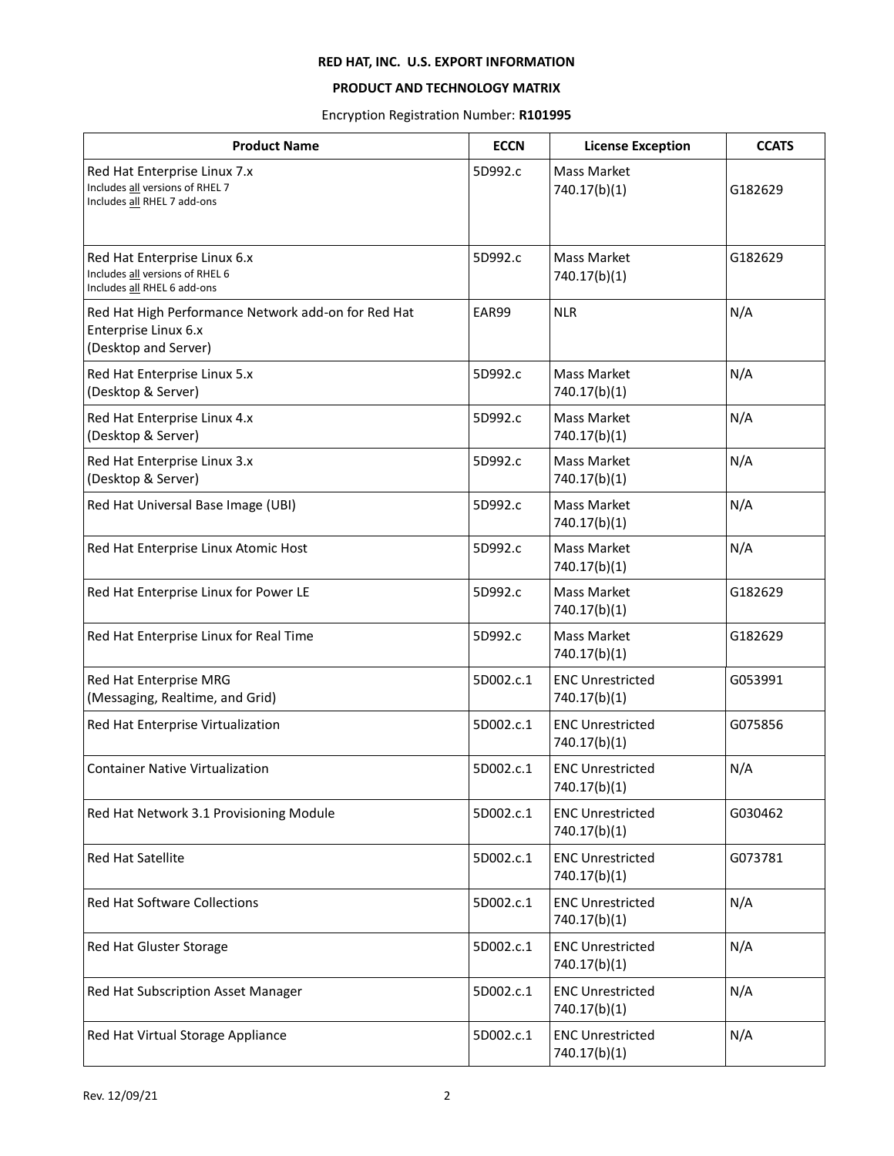## **PRODUCT AND TECHNOLOGY MATRIX**

Encryption Registration Number: **R101995**

| <b>Product Name</b>                                                                                 | <b>ECCN</b> | <b>License Exception</b>                | <b>CCATS</b> |
|-----------------------------------------------------------------------------------------------------|-------------|-----------------------------------------|--------------|
| Red Hat Enterprise Linux 7.x<br>Includes all versions of RHEL 7<br>Includes all RHEL 7 add-ons      | 5D992.c     | <b>Mass Market</b><br>740.17(b)(1)      | G182629      |
| Red Hat Enterprise Linux 6.x<br>Includes all versions of RHEL 6<br>Includes all RHEL 6 add-ons      | 5D992.c     | <b>Mass Market</b><br>740.17(b)(1)      | G182629      |
| Red Hat High Performance Network add-on for Red Hat<br>Enterprise Linux 6.x<br>(Desktop and Server) | EAR99       | <b>NLR</b>                              | N/A          |
| Red Hat Enterprise Linux 5.x<br>(Desktop & Server)                                                  | 5D992.c     | Mass Market<br>740.17(b)(1)             | N/A          |
| Red Hat Enterprise Linux 4.x<br>(Desktop & Server)                                                  | 5D992.c     | <b>Mass Market</b><br>740.17(b)(1)      | N/A          |
| Red Hat Enterprise Linux 3.x<br>(Desktop & Server)                                                  | 5D992.c     | Mass Market<br>740.17(b)(1)             | N/A          |
| Red Hat Universal Base Image (UBI)                                                                  | 5D992.c     | <b>Mass Market</b><br>740.17(b)(1)      | N/A          |
| Red Hat Enterprise Linux Atomic Host                                                                | 5D992.c     | Mass Market<br>740.17(b)(1)             | N/A          |
| Red Hat Enterprise Linux for Power LE                                                               | 5D992.c     | <b>Mass Market</b><br>740.17(b)(1)      | G182629      |
| Red Hat Enterprise Linux for Real Time                                                              | 5D992.c     | Mass Market<br>740.17(b)(1)             | G182629      |
| Red Hat Enterprise MRG<br>(Messaging, Realtime, and Grid)                                           | 5D002.c.1   | <b>ENC Unrestricted</b><br>740.17(b)(1) | G053991      |
| Red Hat Enterprise Virtualization                                                                   | 5D002.c.1   | <b>ENC Unrestricted</b><br>740.17(b)(1) | G075856      |
| <b>Container Native Virtualization</b>                                                              | 5D002.c.1   | <b>ENC Unrestricted</b><br>740.17(b)(1) | N/A          |
| Red Hat Network 3.1 Provisioning Module                                                             | 5D002.c.1   | <b>ENC Unrestricted</b><br>740.17(b)(1) | G030462      |
| Red Hat Satellite                                                                                   | 5D002.c.1   | <b>ENC Unrestricted</b><br>740.17(b)(1) | G073781      |
| <b>Red Hat Software Collections</b>                                                                 | 5D002.c.1   | <b>ENC Unrestricted</b><br>740.17(b)(1) | N/A          |
| Red Hat Gluster Storage                                                                             | 5D002.c.1   | <b>ENC Unrestricted</b><br>740.17(b)(1) | N/A          |
| Red Hat Subscription Asset Manager                                                                  | 5D002.c.1   | <b>ENC Unrestricted</b><br>740.17(b)(1) | N/A          |
| Red Hat Virtual Storage Appliance                                                                   | 5D002.c.1   | <b>ENC Unrestricted</b><br>740.17(b)(1) | N/A          |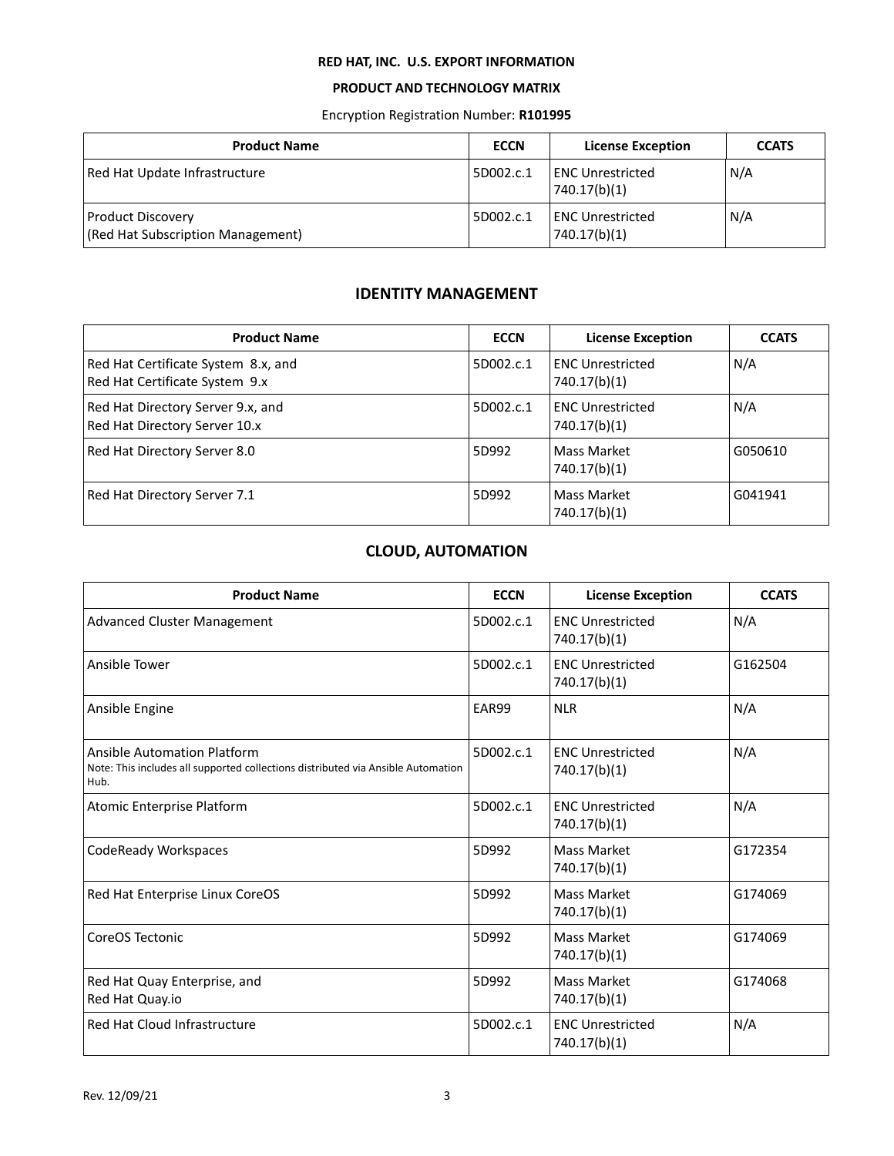## **PRODUCT AND TECHNOLOGY MATRIX**

Encryption Registration Number: **R101995**

| <b>Product Name</b>                                           | <b>ECCN</b> | <b>License Exception</b>                 | <b>CCATS</b> |
|---------------------------------------------------------------|-------------|------------------------------------------|--------------|
| Red Hat Update Infrastructure                                 | 5D002.c.1   | <b>IENC Unrestricted</b><br>740.17(b)(1) | N/A          |
| <b>Product Discovery</b><br>(Red Hat Subscription Management) | 5D002.c.1   | <b>ENC Unrestricted</b><br>740.17(b)(1)  | N/A          |

## **IDENTITY MANAGEMENT**

<span id="page-2-0"></span>

| <b>Product Name</b>                                                   | <b>ECCN</b> | <b>License Exception</b>                | <b>CCATS</b> |
|-----------------------------------------------------------------------|-------------|-----------------------------------------|--------------|
| Red Hat Certificate System 8.x, and<br>Red Hat Certificate System 9.x | 5D002.c.1   | <b>ENC Unrestricted</b><br>740.17(b)(1) | N/A          |
| Red Hat Directory Server 9.x, and<br>Red Hat Directory Server 10.x    | 5D002.c.1   | <b>ENC Unrestricted</b><br>740.17(b)(1) | N/A          |
| Red Hat Directory Server 8.0                                          | 5D992       | Mass Market<br>740.17(b)(1)             | G050610      |
| Red Hat Directory Server 7.1                                          | 5D992       | Mass Market<br>740.17(b)(1)             | G041941      |

# **CLOUD, AUTOMATION**

| <b>Product Name</b>                                                                                                            | <b>ECCN</b> | <b>License Exception</b>                | <b>CCATS</b> |
|--------------------------------------------------------------------------------------------------------------------------------|-------------|-----------------------------------------|--------------|
| <b>Advanced Cluster Management</b>                                                                                             | 5D002.c.1   | <b>ENC Unrestricted</b><br>740.17(b)(1) | N/A          |
| Ansible Tower                                                                                                                  | 5D002.c.1   | <b>ENC Unrestricted</b><br>740.17(b)(1) | G162504      |
| Ansible Engine                                                                                                                 | EAR99       | <b>NLR</b>                              | N/A          |
| <b>Ansible Automation Platform</b><br>Note: This includes all supported collections distributed via Ansible Automation<br>Hub. | 5D002.c.1   | <b>ENC Unrestricted</b><br>740.17(b)(1) | N/A          |
| Atomic Enterprise Platform                                                                                                     | 5D002.c.1   | <b>ENC Unrestricted</b><br>740.17(b)(1) | N/A          |
| CodeReady Workspaces                                                                                                           | 5D992       | Mass Market<br>740.17(b)(1)             | G172354      |
| Red Hat Enterprise Linux CoreOS                                                                                                | 5D992       | <b>Mass Market</b><br>740.17(b)(1)      | G174069      |
| CoreOS Tectonic                                                                                                                | 5D992       | Mass Market<br>740.17(b)(1)             | G174069      |
| Red Hat Quay Enterprise, and<br>Red Hat Quay.io                                                                                | 5D992       | <b>Mass Market</b><br>740.17(b)(1)      | G174068      |
| Red Hat Cloud Infrastructure                                                                                                   | 5D002.c.1   | <b>ENC Unrestricted</b><br>740.17(b)(1) | N/A          |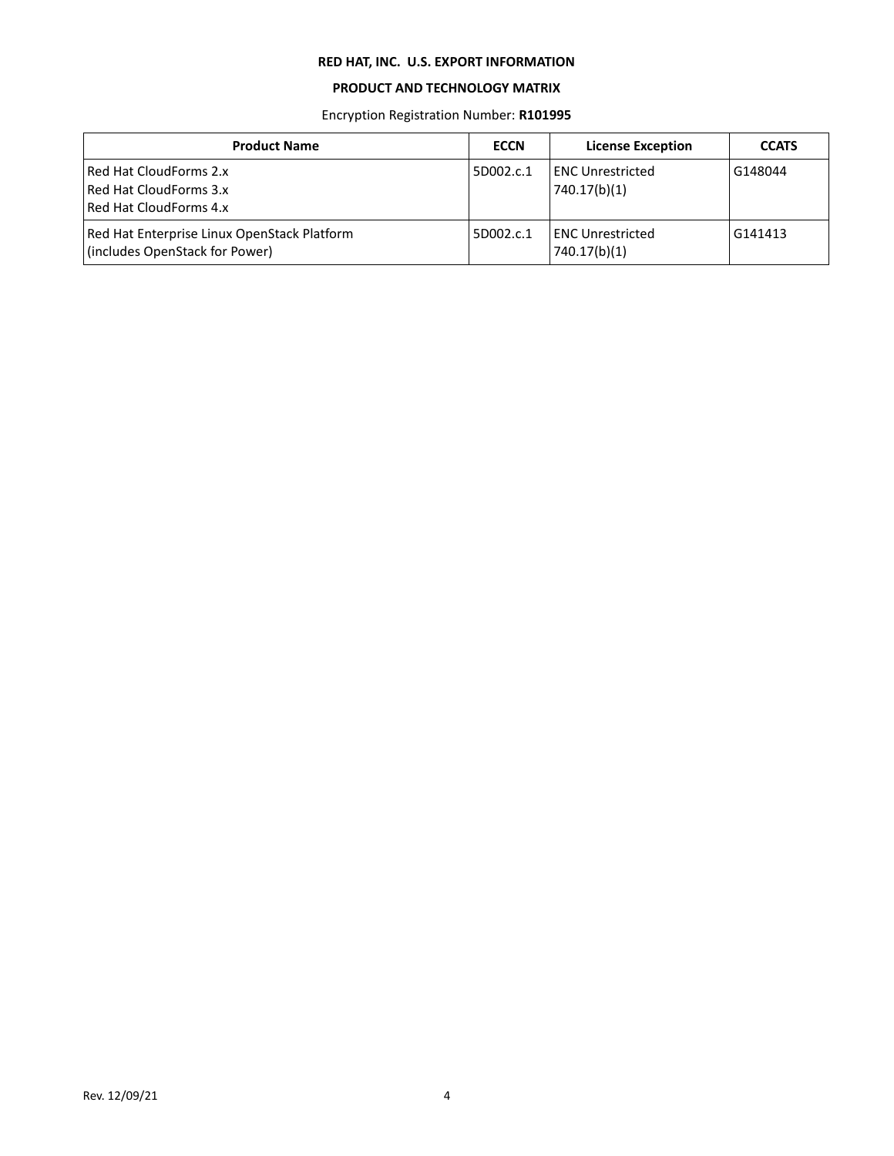## **PRODUCT AND TECHNOLOGY MATRIX**

Encryption Registration Number: **R101995**

| <b>Product Name</b>                                                           | <b>ECCN</b> | <b>License Exception</b>                | <b>CCATS</b> |
|-------------------------------------------------------------------------------|-------------|-----------------------------------------|--------------|
| Red Hat CloudForms 2.x<br>Red Hat CloudForms 3.x<br>Red Hat CloudForms 4.x    | 5D002.c.1   | ENC Unrestricted<br>740.17(b)(1)        | G148044      |
| Red Hat Enterprise Linux OpenStack Platform<br>(includes OpenStack for Power) | 5D002.c.1   | <b>ENC Unrestricted</b><br>740.17(b)(1) | G141413      |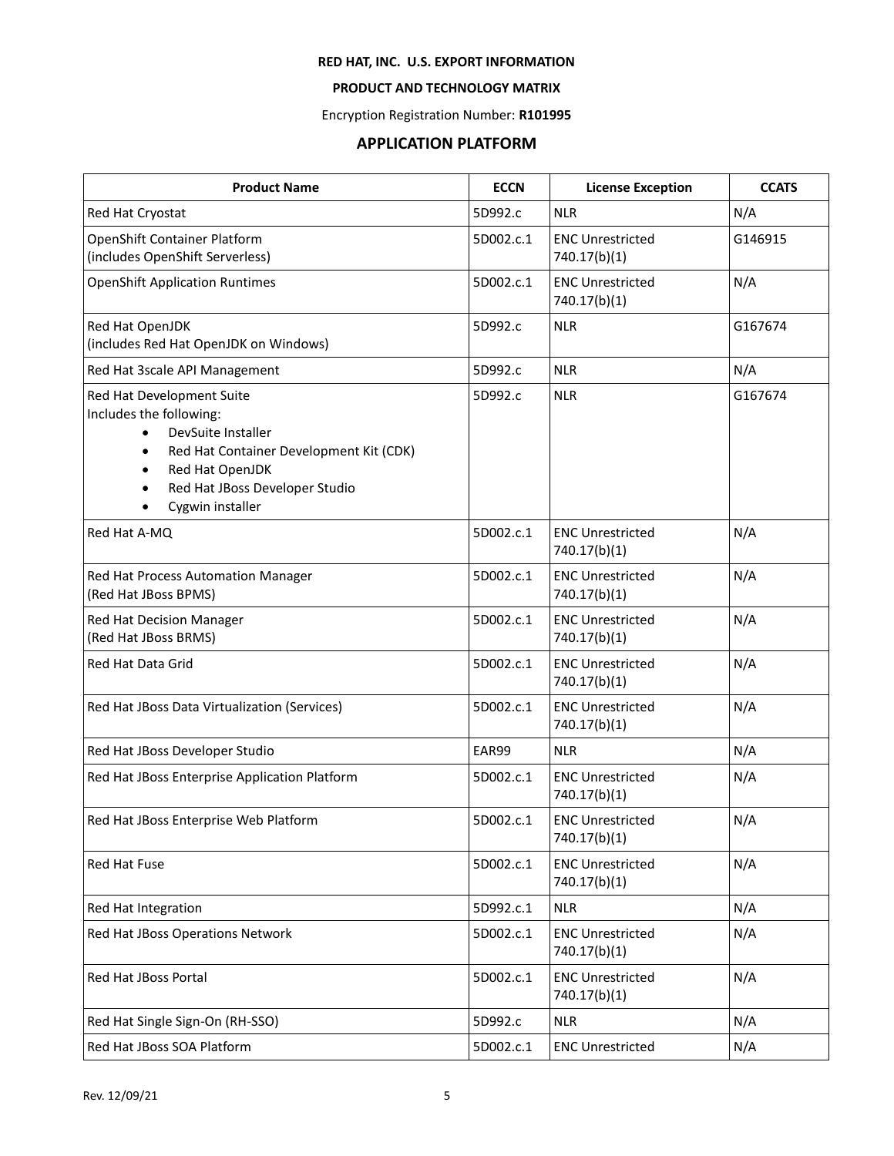## **PRODUCT AND TECHNOLOGY MATRIX**

Encryption Registration Number: **R101995**

# **APPLICATION PLATFORM**

<span id="page-4-0"></span>

| <b>Product Name</b>                                                                                                                                                                                                      | <b>ECCN</b> | <b>License Exception</b>                | <b>CCATS</b> |
|--------------------------------------------------------------------------------------------------------------------------------------------------------------------------------------------------------------------------|-------------|-----------------------------------------|--------------|
| Red Hat Cryostat                                                                                                                                                                                                         | 5D992.c     | <b>NLR</b>                              | N/A          |
| OpenShift Container Platform<br>(includes OpenShift Serverless)                                                                                                                                                          | 5D002.c.1   | <b>ENC Unrestricted</b><br>740.17(b)(1) | G146915      |
| <b>OpenShift Application Runtimes</b>                                                                                                                                                                                    | 5D002.c.1   | <b>ENC Unrestricted</b><br>740.17(b)(1) | N/A          |
| Red Hat OpenJDK<br>(includes Red Hat OpenJDK on Windows)                                                                                                                                                                 | 5D992.c     | <b>NLR</b>                              | G167674      |
| Red Hat 3scale API Management                                                                                                                                                                                            | 5D992.c     | <b>NLR</b>                              | N/A          |
| Red Hat Development Suite<br>Includes the following:<br>DevSuite Installer<br>$\bullet$<br>Red Hat Container Development Kit (CDK)<br>$\bullet$<br>Red Hat OpenJDK<br>Red Hat JBoss Developer Studio<br>Cygwin installer | 5D992.c     | <b>NLR</b>                              | G167674      |
| Red Hat A-MQ                                                                                                                                                                                                             | 5D002.c.1   | <b>ENC Unrestricted</b><br>740.17(b)(1) | N/A          |
| Red Hat Process Automation Manager<br>(Red Hat JBoss BPMS)                                                                                                                                                               | 5D002.c.1   | <b>ENC Unrestricted</b><br>740.17(b)(1) | N/A          |
| Red Hat Decision Manager<br>(Red Hat JBoss BRMS)                                                                                                                                                                         | 5D002.c.1   | <b>ENC Unrestricted</b><br>740.17(b)(1) | N/A          |
| Red Hat Data Grid                                                                                                                                                                                                        | 5D002.c.1   | <b>ENC Unrestricted</b><br>740.17(b)(1) | N/A          |
| Red Hat JBoss Data Virtualization (Services)                                                                                                                                                                             | 5D002.c.1   | <b>ENC Unrestricted</b><br>740.17(b)(1) | N/A          |
| Red Hat JBoss Developer Studio                                                                                                                                                                                           | EAR99       | <b>NLR</b>                              | N/A          |
| Red Hat JBoss Enterprise Application Platform                                                                                                                                                                            | 5D002.c.1   | <b>ENC Unrestricted</b><br>740.17(b)(1) | N/A          |
| Red Hat JBoss Enterprise Web Platform                                                                                                                                                                                    | 5D002.c.1   | <b>ENC Unrestricted</b><br>740.17(b)(1) | N/A          |
| Red Hat Fuse                                                                                                                                                                                                             | 5D002.c.1   | <b>ENC Unrestricted</b><br>740.17(b)(1) | N/A          |
| Red Hat Integration                                                                                                                                                                                                      | 5D992.c.1   | <b>NLR</b>                              | N/A          |
| Red Hat JBoss Operations Network                                                                                                                                                                                         | 5D002.c.1   | <b>ENC Unrestricted</b><br>740.17(b)(1) | N/A          |
| Red Hat JBoss Portal                                                                                                                                                                                                     | 5D002.c.1   | <b>ENC Unrestricted</b><br>740.17(b)(1) | N/A          |
| Red Hat Single Sign-On (RH-SSO)                                                                                                                                                                                          | 5D992.c     | <b>NLR</b>                              | N/A          |
| Red Hat JBoss SOA Platform                                                                                                                                                                                               | 5D002.c.1   | <b>ENC Unrestricted</b>                 | N/A          |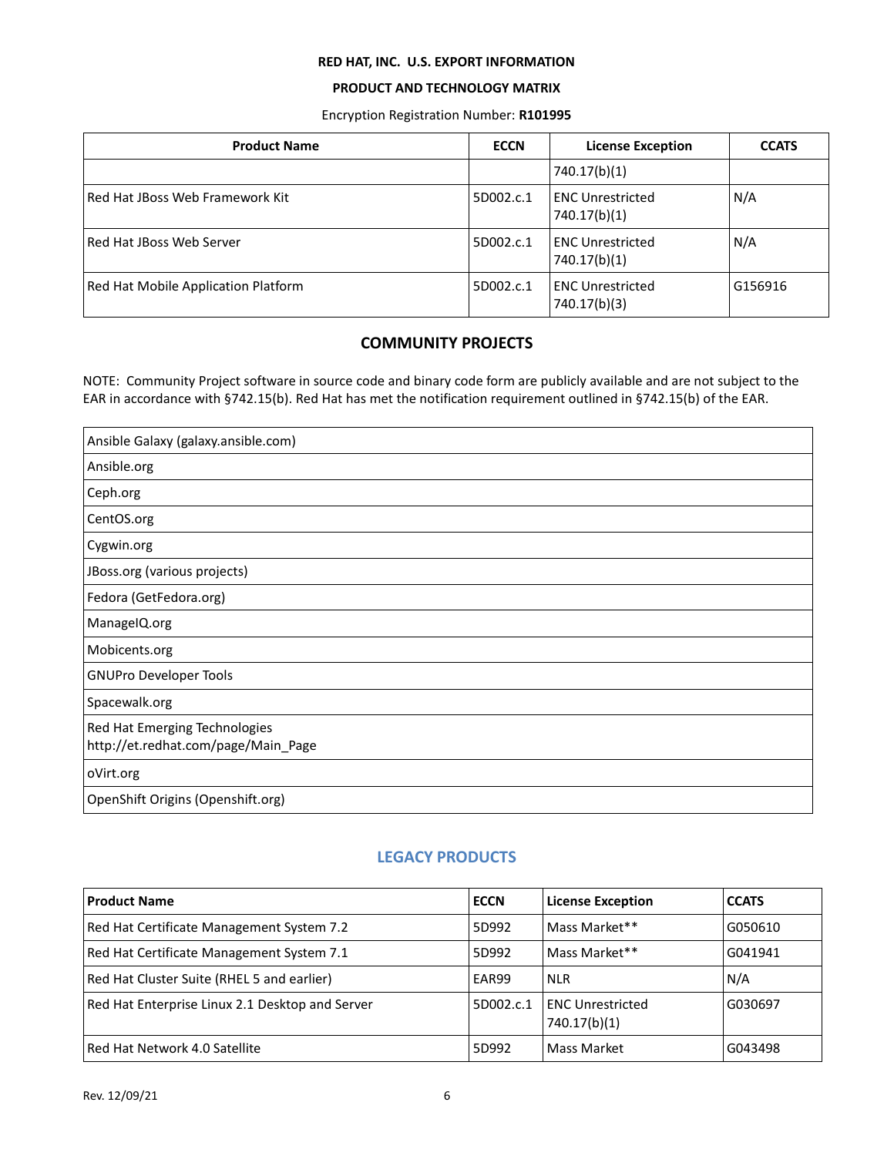## **PRODUCT AND TECHNOLOGY MATRIX**

Encryption Registration Number: **R101995**

| <b>Product Name</b>                 | <b>ECCN</b> | <b>License Exception</b>                | <b>CCATS</b> |
|-------------------------------------|-------------|-----------------------------------------|--------------|
|                                     |             | 740.17(b)(1)                            |              |
| Red Hat JBoss Web Framework Kit     | 5D002.c.1   | <b>ENC Unrestricted</b><br>740.17(b)(1) | N/A          |
| Red Hat JBoss Web Server            | 5D002.c.1   | <b>ENC Unrestricted</b><br>740.17(b)(1) | N/A          |
| Red Hat Mobile Application Platform | 5D002.c.1   | <b>ENC Unrestricted</b><br>740.17(b)(3) | G156916      |

## **COMMUNITY PROJECTS**

<span id="page-5-0"></span>NOTE: Community Project software in source code and binary code form are publicly available and are not subject to the EAR in accordance with §742.15(b). Red Hat has met the notification requirement outlined in §742.15(b) of the EAR.

| Ansible Galaxy (galaxy.ansible.com)                                  |
|----------------------------------------------------------------------|
| Ansible.org                                                          |
| Ceph.org                                                             |
| CentOS.org                                                           |
| Cygwin.org                                                           |
| JBoss.org (various projects)                                         |
| Fedora (GetFedora.org)                                               |
| ManageIQ.org                                                         |
| Mobicents.org                                                        |
| <b>GNUPro Developer Tools</b>                                        |
| Spacewalk.org                                                        |
| Red Hat Emerging Technologies<br>http://et.redhat.com/page/Main_Page |
| oVirt.org                                                            |
| OpenShift Origins (Openshift.org)                                    |

## **LEGACY PRODUCTS**

<span id="page-5-1"></span>

| <b>Product Name</b>                             | <b>ECCN</b> | <b>License Exception</b>                | <b>CCATS</b> |
|-------------------------------------------------|-------------|-----------------------------------------|--------------|
| Red Hat Certificate Management System 7.2       | 5D992       | Mass Market**                           | G050610      |
| Red Hat Certificate Management System 7.1       | 5D992       | Mass Market**                           | G041941      |
| Red Hat Cluster Suite (RHEL 5 and earlier)      | EAR99       | <b>NLR</b>                              | N/A          |
| Red Hat Enterprise Linux 2.1 Desktop and Server | 5D002.c.1   | <b>ENC Unrestricted</b><br>740.17(b)(1) | G030697      |
| Red Hat Network 4.0 Satellite                   | 5D992       | Mass Market                             | G043498      |